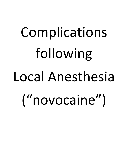# Complications following Local Anesthesia ("novocaine")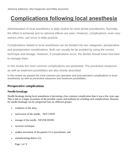# **Complications following local anesthesia**

Administration of local anesthetics is daily routine for most dental practitioners. Normally, the effect is achieved and no adverse effects are seen. However, complications, even very serious ones, can occur in daily practice.

Complications related to local anesthesia can be divided into two categories: peroperative and postoperative complications. Both can usually be be avoided by using the correct technique and dosage. However, if complications occur, the dentist should know how best to manage them.

In this review the most common complications are presented. The preventive measures as well as treatment possibilities are also shortly described.

In this review we present the most common pre-operative and post-operative complications in local anesthesia, as well as preventive measures and treatment possibilities.

# **Peroperative complications**

### **Needle breakage**

Needle breakage during local anaesthesia is becoming a less common complication than it was a few years ago. This is due to a larger awareness of the possible causes and methods for avoiding such complications. Reasons for needle breakage can be categorized into six different groups:

- weakness of the alloy,
- narrowness of the needle, NOT USED
- reusage of the needle, NEVER DONE
- incorrect technique,
- sudden movement of the patient  $(1)$  or practitioner, and
- manufacturing defects (2).

Page 1 of 9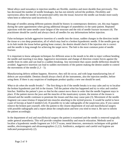Metal alloys used nowadays in injection needles are flexible, stainless and more durable than previously. This has decreased the number of needle breakages, but has not entirely solved the problem. Flexibility and narrowness allow the needle to be penetrated softly into the tissue; however the needle can breake more easily when bent or otherwise used incorrectly  $(3)$ .

Reusage of needles among different patients should be history in contemporary dentistry; yet, this may happen during the same appointment when giving additional dosages of anaesthetics to the same patient. Repeated injections with the same needle cause fatigue of the structure and the risk of needle fracture increases (4). The practitioner should be careful and always check all needles for any deformations before injection.

False techniques include aggressive insertion of a needle into the tissue, sudden changes in the direction inside the tissue or a too deep penetration, all of which may lead to a broken hypodermic needle. If the needle goes up to its hub inside the tissue before getting bone contact, the dentist should check if the injection site is correct and the needle is long enough for achieving the target nerve. The hub is the most common point of needle fracture.

It is important to know adequate techniques for different areas in the mouth to be able to inject without bending the needle and inserting it too deep. Aggressive movements and change of direction creates forces against the needle from its sides and can lead to a sudden breaking. Any movement that causes needle deflection should be avoided. Aggressive insertion can lead to sudden movements of the patient making the dentist unable to control the movements of the needle  $(1,3-5)$ .

Manufacturing defects seldom happens. However, they still do occur, and with large manufacturing lots of defects are unavoidable. Dentists should always check all the instruments, also the injection needles, before using them. If there is any suspicion of inadequate product quality a new one should be used.

*What to do when the needle breaks? –* The first thing to do if the needle breaks is to stay calm and try to localise the broken hypodermic part left in the tissues. Tell the patient what has happened and try to relax and comfort him/her. Stabilise the patient's jaws so that he/she cannot move them in order that the needle fragment stays in place. If the patient moves the jaws and the muscles of the masticatory system, the tension of the tissues is released and the needle continues to penetrate the tissues and thus may cause pain (3). Movement of the needle fragment can cause trismus if impacted into muscles attaching to the styloid process. It would be useful to have a pair of forceps at hand if needed (3,4). If possible try to take radiographs of the suspicious area. If you cannot remove the broken part yourself, refer the patient to the closest department of oral and maxillofacial surgery with possible radiographs and a report about the complication and how you tried to treat it. Be sure to inform the patient accordingly.

In the department of oral and maxillofacial surgery the patient is examined and the needle is removed surgically under general anaesthesia. This will provide complete immobility and muscle relaxation. Methods used to localise a hypodermic needle fragment are 3-D CT-scans, metal detectors, stereotactic techniques with guided needles, electromagnets and ultrasonographies (1,2,5). Antibiotics, analgesics and careful oral hygiene are indicated postoperatively (2).

Page 2 of 9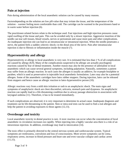# **Pain at injection**

Pain during administration of the local anaesthetic solution can be caused by many reasons.

Factorsdepending on the solution are low pH-value that may irritate the tissue, and the temperature of the solution – warmer feeling more comfortable than cold. The cartridge can be warmed in the practitioners hand or in warm water before injection (6).

The practitioner-related factors relate to the technique used. Fast injections and high injection pressures cause rapid swelling of the tissue and pain. This can be avoided only by a slower injection. Aggressive insertion of the needle can tear soft tissues, blood vessels, nerves or periosteum and cause more pain and other complications. An inadequate injection site can lead to an intramuscular or intraneural injection. When the needle penetrates a nerve, the patient feels a sudden «electric shock» in the distal area of the nerve. Pain after intramuscular injection is due to fibrosis or inflammation inside the muscle (7).

# **Hypersensitivity and allergy**

Hypersensitivity or allergy to local anaesthetic is very rare. It is estimated that less than 1 % of all complications are caused by allergy (8,9). Many of the complications suspected to be allergic are actually psychogenic reactions caused by fear of dental treatment. Another reason may also be the presence of adrenaline in local anaesthetic which can cause several general symptoms, including palpitation. Naturally, sometimes a patient may suffer from an allergic reaction. In such cases the allergen is usually an additive, for example bisulphite or paraben, which is used as preservative in injectable local anaesthetic formulation. Latex may also be a potential allergen. Some of the anaesthetic cartridges have latex rubber stoppers. During injection, latex can be released from stoppers and hence cause an allergic reaction to latex-hypersensitive person (10).

Allergic reactions vary from a mild skin irritation or rash to an anaphylactic shock. The main signs and symptoms of anaphylactic shock are chest discomfort, urticaria, stomach pain and dyspnoea. An anaphylactic reaction can rapidly lead to a life-threatening condition due to airway passage obstruction in association with laryngeal oedema (11). Therefore, it has to be treated immediately.

If such complications are observed, it is very important to determine its actual cause. Inadequate diagnosis and treatment can be life-threatening to the patient. Skin or intra-oral tests can be used to find a real allergen and help the patient in avoiding exposures to those agents (12,13).

# **Overdosage and toxicity**

Local anaesthetic toxicity in dental practice is rare. A toxic reaction can occur when the concentration of local anaesthetic in circulation increases too rapidly. When injecting into a highly vascular area there is a risk of an intravenous injection. In addition, overdosage may lead to intoxication (14).

The toxic effect is primarily directed to the central nervous system and cardiovascular system. Typical symptoms are restlessness, convulsion and loss of consciousness. More severe symptoms can be coma, respiratory arrest, increase in blood pressure and heart rate and even vascular collapse and cardiac arrest  $(11,15)$ .

Page 3 of 9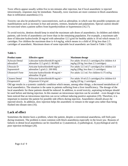Toxic effects appear usually within five to ten minutes after injection, but if local anaesthetic is injected intravenously, responses may be immediate. Naturally, toxic reactions are more common in block anaesthesia than in infiltration anaesthesia (11).

Toxicity can also be produced by vasoconstrictors, such as adrenaline, in which case the possible symptoms are manifestations such as increase in fear and anxiety, tremors, headache and palpitations. Special caution should be exercised when a patient suffers from hyperthyroidism or hypertension (16,17).

To avoid toxicity, dentists should keep in mind the maximum safe doses of anaesthetics. In children and elderly patients, safe levels of anaesthetics are lower than in the remaining population. For example, a maximum safe dose of lidocaine hydrocloride 20 mg/ml with adrenaline 12.5 g/ml for healthy adults is 10 ml which means 5.5 cartridges. For children the maximum dose is 4.4 mg/kg, which means in a child of 20 kg less than 2.5 cartridges of anaesthetic. Maximum doses of some injectable local anaesthetic are listed in Table 1 (18).

#### **Table 1.**

| <b>Product name</b>          | <b>Effective agent</b>                                   | <b>Maximum</b> dosage                               |
|------------------------------|----------------------------------------------------------|-----------------------------------------------------|
| <b>Xylocain Dental</b>       | Lidocaine hydrochloride $20$ mg/ml +                     | For adults 10 ml (5.5 cartridges). For children 4.4 |
| adrenalin <sup>®</sup>       | adrenaline 12.5 g/ml (1: 80 000)                         | $mg/kg$ (20 kg; less than 2.5 cartridges)           |
| Ultracain D-                 | Articaine hydrochloride40 mg/ml +                        | For adults 12.5 ml (7 cartridges). For children 5.0 |
| Suprarenin <sup>®</sup>      | adrenaline 5 g/ml $(1: 200 000)$                         | mg/kg (20kg; less than 1.5 cartridges)              |
| Ubistesin <sup>®</sup> Forte | Articaine hydrochloride 40 mg/ml +<br>adrenaline 10 g/ml | For adults 12.5 ml. For children 0.175 ml/kg        |
| <b>Citanest Dental</b>       | Prilocaine hydrochloride30 mg/ml +                       | For adults 10 ml (5.5 cartridges). For children 6.0 |
| Octapressin <sup>®</sup>     | felypressin $0.54$ g/ml                                  | mg/kg (20 kg; 2 cartridges)                         |

Old age results in a systemic catabolic condition which means, among other things, a decreased metabolism of local anaesthetics. The situation is the same in patients suffering from a liver insufficiency. The dosage of the local anaesthetic for these patients should be reduced. In addition, to avoid toxicity, aspirating technique should be used before and during injection. In this manner an intravenous injection can be avoided – even though it has been noticed that an intravenous injection can occur without inducing positive aspiration (19). Therefore, it is important to monitor the patient for possible side effects during injection. Anaesthetics should always be injected slowly. In addition, slow injection helps the anaesthetic to remain in the target area rather than being flushed into distant sites (16).

## **Lack of effect**

Sometimes the dentist faces a problem, where the patient, despite a conventional anaesthesia, still feels pain during treatment. The problem is most common with block anaesthesia especially in the lower jaw. Reasons of failures in dental local anaesthesia can be classified as 1) anatomical, 2) pathological, 3) psychological and 4) poor injection technique (20).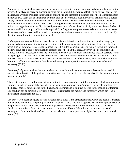*Anatomical reasons* include accessory nerve supply, variation in foramen location, and abnormal course of the nerves. Bifid alveolar nerve or mandibular canal can also inhibit the wanted effect. Thick cortical plate of the mandibular alveolus precludes infiltration of anaesthetic and therefore infiltration anaesthesia is insufficient in the lower jaw. Teeth can be innervated by more than one nerve trunk. Maxillary molar teeth may have pulpal supply from the greater palatine nerve, and maxillary anterior teeth may receive innervation from the nasopalatine nerve. In the mandible, a long buccal or lingual nerve can sometimes provide innervation to molar pulps. The lingual nerve is usually blocked by conventional inferior alveolar block, but to anesthetise the buccal nerve, an additional pulpal infiltration is required (21). To get an adequate anaesthesia it is important to know the anatomy of the nerve and its variations. In complicated situations radiographs can be used to help specify the situation of foramina or mandibular canal.

*Pathological reasons* for failure of anaesthesia are trismus, infection, inflammation and previous surgery or trauma. When mouth opening is limited, it is impossible to use conventional techniques of inferior alveolar nerve block. Therefore, the so-called Akinosi (closed-mouth) technique is useful (20). If the pulp is inflamed, the low tissue pH is said to cause lack of effect of anaesthesia in that area. However, this does not explain failures in block anaesthesia, where the solution is injected 4 to 5 cm from the inflamed area. A possible reason is hyperalgesia; inflammation makes nerves more sensitive. A minimal stimulation can cause pain perception. In these patients, to obtain a sufficient anaesthesia more solution has to be injected, for example by combining block and infiltration anaesthesia. Supplemental intra-ligamentary or intra-osseous injection can be used if necessary  $(20,21)$ .

*Psychological factors* such as fear and anxiety can cause failure in local anaesthesia. To enable successful anaesthesia, relaxation of the patient is sometimes needed. For this the use of a sedative like benzo-diazepines may be helpful (21).

The most common reason for insufficient anaesthesia is *poor technique*. In inferior alveolar block anaesthesia a common mistake is to inject the anaesthetic too soon on anterior ascending ramus as the needle point touches the lingual cortical bone anterior to the lingula. Another mistake is to inject inferior to the mandibular foramen. The solution can be directed away from a nerve if it is injected too rapidly and forcefully, which can lead to insufficient anaesthesia, too (21).

The best way to reach adequate inferior alveolar nerve block is the direct technique, where the needle is inserted immediately medially to the pterygomandibular raphe in such a way that it approaches from the opposite side of the premolar region and bisects the thumbnail placed at the deepest portion of coronoid notch. The needle should be inserted to a depth of 15 to 25 mm. If conventional block fails, it has to be repeated. A useful technique is, for example, Gow-Gates' technique where the needle penetrates higher than with conventional block (20).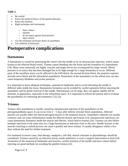#### **Table 2.**

- Be careful
- Know the medical history of the patient (diseases,
- Know the anatomy
- Right technique and instruments
	- o bone contact
	- o aspirate
	- o do not inject against hard pressure
	- o inject slowly
	- Use the minimum necessary doses of anaesthetic
- Use sedatives if necessary

# **Postoperative complications**

# **Haematoma**

A haematoma is caused by penetrating the vessel with the needle or by an intravascular injection, which causes trauma to the affected blood vessel. Trauma causes bleeding into the tissue and the formation of a haematoma (14). Many areas intraorally are highly vascular and target nerves are accompanied by large vessels. Blood pressure in an artery that has been damaged has to be high enough for a large hematoma to occur. Different parts of the maxillary artery can be affected in the IAN-block, the second division block, the posterior superior alveolar nerve block and the infraorbital anaesthesia. Penetration of the anaesthetics to the orbital area can also cause temporary blindness and ocular paralysis.

It is important to learn adequate techniques, anatomical landmarks and to avoid relocating the needle to different sides inside the tissue. Haematoma formation can be avoided by careful aspiration before injecting the anaesthetic and by gentle removal of the needle. Haematomas can be large, they can appear rapidly and be dramatic in appearance, especially in the infraorbital space. It is important to inform the patient and re-evaluate the possibilities of continuing the treatment (7,22,23).

# **Trismus**

Trismus after anaesthesia is usually caused by intramuscular injection of the anaesthetics in the pterygomandibular space. It can occur even 2 – 5 days after inferior alveolar block anaesthesia. Affected muscles are usually either the lateral pterygoid muscle or the temporal muscle. Anaesthetic solutions are usually cytotoxic and can cause inflammation inside the affected muscle and trismus (14). Intramuscular injections can cause haematoma formation inside the muscle and fibrosis, which lead to trismus (24). Trismus can also follow multiple injections to the same area, by a large haematoma or infection close to the area. Needle fracture in the muscles inserting to styloid process can cause a painful and sever trismus. It usually disappears within a few days without the need for further treatment.

For treatment in severe cases, heat therapy, analgesics, soft diet, muscle relaxants or physiotherapy should be considered. Trismus caused by an infection always needs antibiotics or even a surgical intervention to heal (24). Awareness of the anatomical landmarks and muscles, careful insertion of the needle and bone contact before injecting are good methods for avoiding the painful trismus (22).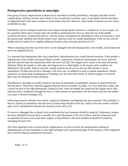# **Postoperative paresthesia or neuralgia**

One group of local complications in dental local anaesthesia include paresthesia, neuralgia and other neural complications. Inferior alveolar nerve block is the second-most common cause of permanent altered sensation of trigeminal nerve (the most common is third molar removal). However, these kinds of injuries are rare; about 4:100 000 (25,26).

Paresthesia can for example result from nerve injury during needle insertion or withdrawal. A nerve injury can be caused by direct nerve trauma when the needle is penetrating the nerve or when the tip of the needle scratches the nerve. Trauma feels like an "electric shock» throughout the distribution of the involved nerve, and the patient may suddenly jerk his/her head or jaw. Injection must be ceased immediately if this occurs, and the needle must be replaced in a slightly different location when retrying injection (22,27).

When contacting bone the tip of the nerve can be damaged with developing barbs in the needle, which injure the nerve on withdrawal (25).

It is reported that haematoma after local anaesthetic administration has caused altered sensation. If the needle is injuring one of the smaller intraneural blood vessels a neurotoxic intraneural haematoma can occur, and iron and free radicals from the haematoma affect the nerve (25,28). The lingual nerve seems to be most commonly affected. When the mouth is wide open, the lingual nerve is held tightly in the tissues and is unable to be deflected by the needle. Inferior alveolar, mental and buccal nerves can also be affected due to local anaesthesia. Of these buccal nerve damage is the most rare. In addition to total or partial anaesthesia, altered sensation can mean deep, burning pain or flushing over the associated cheek. If chorda tympani is involved there may be alteration in taste sensation.

Paresthesia or neuralgia is usually transient, but may be permanent if anaesthetic solution is injected directly into the nerve. There-fore, injection against pressure must be avoided. Actually, it is very difficult to inject into a nerve because of the tight epineurium. Instead of that, when the needle has transfixed the lingual nerve after injection and is withdrawn through the nerve, a little amount of anaesthetic into the lumen and onto the needle can cause a chemical damage (25).

Following posterior alveolar nerve block, temporary blindness and diplopia has been reported. This probably is due to a spread of anaesthetic near the nerves innervating muscles of the eye, and/or even into contact with the optic nerve, and therefore disturbs the function of the nerve (27).

If a nerve is damaged due to dental local anaesthesia the best treatment should be medical. Exploratory surgery has been unhelpful because there is usually not a total disruption of the nerve fibers, and the symptoms have occasionally become even worse after surgery. If dysesthesia is the main problem it should be treated by managing the pain (25).

The most important trick to avoid neural complications as well as nearly all complications relating to administration of local anesthetics is the right technique and a good knowledge of the anatomy of the trigeminal nerve and the adjacent anatomical structures.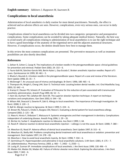#### **English summary** *Säkkinen J, Huppunen M, Suuronen R.*

## **Complications to local anaesthesia**

Administration of local anesthetics is daily routine for most dental practitioners. Normally, the effect is achieved and no adverse effects are seen. However, complications, even very serious ones, can occur in daily practice.

Complications related to local anaesthesia can be divided into two categories: peroperative and postoperative complications. Some complications can be avoided by taking adequate medical history. Naturally, the best way to avoid nearly all complications relating to administration of local anaesthetics is to use the right technique and to have a good knowledge of the anatomy of the trigeminal nerve and the adjacent anatomical structures. However, if complications occur, the dentist should know how best to manage them.

In this review the most common complications are presented. The preventive measures as well as treatment possibilities are also shortly described.

#### **References**

1. Zeltser R, Cohen C, Casap N. The implications of a broken needle in the pterygomandibular space: clinical guidelines for prevention and retrieval. Pediatr Dent 2002; 24: 153 – 6.

2. Faura-Solé M, Sánchez-Garcés MA, Berini-Aytes L, Gay-Escoda C. Broken anesthetic injection needles: Report of 5 cases. Quintessence Int 1999; 30: 461 – 5.

3. Bhatia S, Bounds G. A broken needle in the pterygomandibular space: Report of a case and review of the literature. Dent Update 1998; 25: 35 – 7.

4. McDonogh T. An unususal case of trismus and dysphagia. Br Dent J 1996; 180: 465 – 6.

5. Thompson M, Wright S, Cheng LHH, Starr D. Technical note: Locating broken dental needles. Int J Oral Maxillofac Surg  $2003$ ;  $32:642 - 4$ .

6. Kramp LF, Eleazer PD, Scheetz JP. Evaluation of Prilocaine for the reduction of pain associated with transmucosal anesthetic administration. Anesth Prog 1999; 46: 52 – 5.

7. Harn SD, Durham TM, Callahan BP, Kent DK. The superior alveolar injection technique: A report on technique variations and complications. Gen Dent 2002; 6: 544 – 50.

8. Wilson AW, Deacock S, Downie IP, Zaki G. Allergy to local anaesthetic: The importance of thorough investigation. Br Dent J 2000; 3: 120 – 2.

9. Ball IA. Allergic reaction to lignocaine. Br Dent J 1999; 5: 224 – 6.

10. Brown RS, Paluvoi S, Choksi S, Burgess CM, Reece E. Evaluating a dental patient for local anaesthesia allergy. Compend 2002; 2: 125 – 38.

11. Niwa H, Hirota Y, Shibutani T, Matsuura H. Systemic emergencies and their management in dentistry: Complications independent of underlying disease. Anesth Prog 1996; 1: 29 – 35.

12. Bircher AJ, Surber C. Anaphylactic reaction to lidocaine. Aus Dent J 1999; 1: 64.

13. Rood JP. Adverse reaction to dental local anaesthetic injection – «allergy» is not the cause. Br Dent J 2000; 7: 380 – 4.

14. Meechan JG, Rood JP. Adverse effects of dental local anaesthesia. Dent Update 1997; 8: 315 – 8.

15. Meechan JG, Skelly AM. Problems complicating dental treatment with local anaesthesia or sedation: prevention and management. Dent Update 1997; 24: 278 – 83.

16. Meechan J. How to avoid local anaesthetic toxicity. Br Dent J 1998; 7: 334 – 6.

17. Germishuys PJ. Hyperresponders and adrenaline in local anaesthetic solutions. S Afr Dent J 2001; 4: 175 – 7.

18. Lääketietokeskus. Pharmaca Fennica; 2003. p. 466 – 7, 2402 – 3, 2550 – 1.

19. Lustig JP, Zusman SP. Immediate complications of local anesthetic. J Am Dent Assoc 1999; 130: 496 – 9.

20. Madan GA, Madan SG, Madan AD. Failure of inferior alveolar nerve block. Exploring the alternatives. J Am Dent Assoc 2002; 7: 843 – 6.

Page 8 of 9